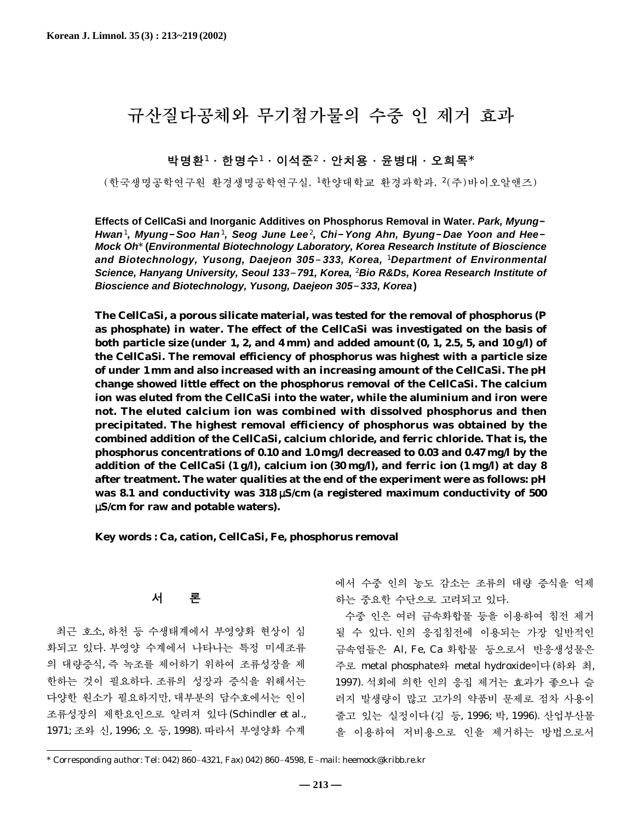# 규산질다공체와 무기첨가물의 수중 인 제거 효과

박명환<sup>1</sup>∙한명수<sup>1</sup>∙이석준<sup>2</sup>∙안치용∙윤병대∙오희목\*

(한국생명공학연구원 환경생명공학연구실, <sup>1</sup>한양대학교 환경과학과, <sup>2</sup>(주)바이오알앤즈)

**Effects of CellCaSi and Inorganic Additives on Phosphorus Removal in Water. Park, Myung**-**Hwan**1**, Myung**-**Soo Han**1**, Seog June Lee**2**, Chi**-**Yong Ahn, Byung**-**Dae Yoon and Hee**-**Mock Oh**\* **(Environmental Biotechnology Laboratory, Korea Research Institute of Bioscience and Biotechnology, Yusong, Daejeon 305**-**333, Korea,** 1**Department of Environmental Science, Hanyang University, Seoul 133**-**791, Korea,** 2**Bio R&Ds, Korea Research Institute of Bioscience and Biotechnology, Yusong, Daejeon 305**-**333, Korea)**

**The CellCaSi, a porous silicate material, was tested for the removal of phosphorus (P as phosphate) in water. The effect of the CellCaSi was investigated on the basis of both particle size (under 1, 2, and 4 mm) and added amount (0, 1, 2.5, 5, and 10 g/l) of the CellCaSi. The removal efficiency of phosphorus was highest with a particle size of under 1 mm and also increased with an increasing amount of the CellCaSi. The pH change showed little effect on the phosphorus removal of the CellCaSi. The calcium ion was eluted from the CellCaSi into the water, while the aluminium and iron were not. The eluted calcium ion was combined with dissolved phosphorus and then precipitated. The highest removal efficiency of phosphorus was obtained by the combined addition of the CellCaSi, calcium chloride, and ferric chloride. That is, the phosphorus concentrations of 0.10 and 1.0 mg/l decreased to 0.03 and 0.47 mg/l by the addition of the CellCaSi (1 g/l), calcium ion (30 mg/l), and ferric ion (1 mg/l) at day 8 after treatment. The water qualities at the end of the experiment were as follows: pH was 8.1 and conductivity was 318** µ**S/cm (a registered maximum conductivity of 500** µ**S/cm for raw and potable waters).**

**Key words : Ca, cation, CellCaSi, Fe, phosphorus removal**

서 론

최근 호소, 하천 등 수생태계에서 부영양화 현상이 심 화되고 있다. 부영양 수계에서 나타나는 특정 미세조류 의 대량증식, 즉 녹조를 제어하기 위하여 조류성장을 제 한하는 것이 필요하다. 조류의 성장과 증식을 위해서는 다양한 원소가 필요하지만, 대부분의 담수호에서는 인이 조류성장의 제한요인으로 알려져 있다(Schindler *et al*., 1971; 조와 신, 1996; 오 등, 1998). 따라서 부영양화 수계

에서 수중 인의 농도 감소는 조류의 대량 증식을 억제 하는 중요한 수단으로 고려되고 있다.

수중 인은 여러 금속화합물 등을 이용하여 침전 제거 될 수 있다. 인의 응집침전에 이용되는 가장 일반적인 금속염들은 Al, Fe, Ca 화합물 등으로서 반응생성물은 주로 metal phosphate와 metal hydroxide이다(하와 최, 1997). 석회에 의한 인의 응집 제거는 효과가 좋으나 슬 러지 발생량이 많고 고가의 약품비 문제로 점차 사용이 줄고 있는 실정이다(김 등, 1996; 박, 1996). 산업부산물 을 이용하여 저비용으로 인을 제거하는 방법으로서

<sup>\*</sup> Corresponding author: Tel: 042) 860-4321, Fax) 042) 860-4598, E-mail: heemock@kribb.re.kr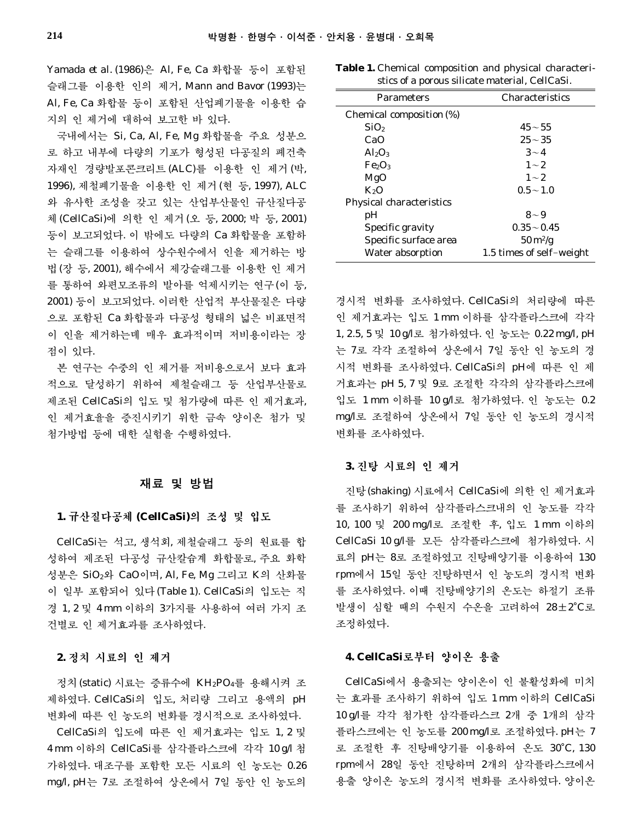Yamada *et al*. (1986)은 Al, Fe, Ca 화합물 등이 포함된 슬래그를 이용한 인의 제거, Mann and Bavor (1993)는 Al, Fe, Ca 화합물 등이 포함된 산업폐기물을 이용한 습 지의 인 제거에 대하여 보고한 바 있다.

국내에서는 Si, Ca, Al, Fe, Mg 화합물을 주요 성분으 로 하고 내부에 다량의 기포가 형성된 다공질의 폐건축 자재인 경량발포콘크리트 (ALC)를 이용한 인 제거 (박, 1996), 제철폐기물을 이용한 인 제거(현 등, 1997), ALC 와 유사한 조성을 갖고 있는 산업부산물인 규산질다공 체(CellCaSi)에 의한 인 제거(오 등, 2000; 박 등, 2001) 등이 보고되었다. 이 밖에도 다량의 Ca 화합물을 포함하 는 슬래그를 이용하여 상수원수에서 인을 제거하는 방 법(장 등, 2001), 해수에서 제강슬래그를 이용한 인 제거 를 통하여 와편모조류의 발아를 억제시키는 연구(이 등, 2001) 등이 보고되었다. 이러한 산업적 부산물질은 다량 으로 포함된 Ca 화합물과 다공성 형태의 넓은 비표면적 이 인을 제거하는데 매우 효과적이며 저비용이라는 장 점이 있다.

본 연구는 수중의 인 제거를 저비용으로서 보다 효과 적으로 달성하기 위하여 제철슬래그 등 산업부산물로 제조된 CellCaSi의 입도 및 첨가량에 따른 인 제거효과, 인 제거효율을 증진시키기 위한 금속 양이온 첨가 및 첨가방법 등에 대한 실험을 수행하였다.

## 재료 및 방법

#### **1.** 규산질다공체 **(CellCaSi)**의 조성 및 입도

CellCaSi는 석고, 생석회, 제철슬래그 등의 원료를 합 성하여 제조된 다공성 규산칼슘계 화합물로, 주요 화학 성분은 SiO2와 CaO이며, Al, Fe, Mg 그리고 K의 산화물 이 일부 포함되어 있다(Table 1). CellCaSi의 입도는 직 경 1, 2 및 4 mm 이하의 3가지를 사용하여 여러 가지 조 건별로 인 제거효과를 조사하였다.

#### **2.** 정치 시료의 인 제거

정치(static) 시료는 증류수에 KH2PO4를 용해시켜 조 제하였다. CellCaSi의 입도, 처리량 그리고 용액의 pH 변화에 따른 인 농도의 변화를 경시적으로 조사하였다.

CellCaSi의 입도에 따른 인 제거효과는 입도 1, 2 및 4 mm 이하의 CellCaSi를 삼각플라스크에 각각 10 g/l 첨 가하였다. 대조구를 포함한 모든 시료의 인 농도는 0.26 mg/l, pH는 7로 조절하여 상온에서 7일 동안 인 농도의

| <b>Table 1.</b> Chemical composition and physical characteri- |                                                |  |
|---------------------------------------------------------------|------------------------------------------------|--|
|                                                               | stics of a porous silicate material, CellCaSi. |  |

| <b>Parameters</b>              | Characteristics                |  |  |
|--------------------------------|--------------------------------|--|--|
| Chemical composition (%)       |                                |  |  |
| SiO <sub>2</sub>               | $45 - 55$                      |  |  |
| CaO                            | $25 - 35$                      |  |  |
| $Al_2O_3$                      | $3 - 4$                        |  |  |
| Fe <sub>2</sub> O <sub>3</sub> | $1 - 2$                        |  |  |
| MgO                            | $1 - 2$                        |  |  |
| K2O                            | $0.5 - 1.0$                    |  |  |
| Physical characteristics       |                                |  |  |
| рH                             | $8 - 9$                        |  |  |
| Specific gravity               | $0.35 - 0.45$                  |  |  |
| Specific surface area          | $50 \,\mathrm{m}^2/\mathrm{g}$ |  |  |
| Water absorption               | 1.5 times of self-weight       |  |  |

경시적 변화를 조사하였다. CellCaSi의 처리량에 따른 인 제거효과는 입도 1 mm 이하를 삼각플라스크에 각각 1, 2.5, 5 및 10 g/l로 첨가하였다. 인 농도는 0.22 mg/l, pH 는 7로 각각 조절하여 상온에서 7일 동안 인 농도의 경 시적 변화를 조사하였다. CellCaSi의 pH에 따른 인 제 거효과는 pH 5, 7 및 9로 조절한 각각의 삼각플라스크에 입도 1 mm 이하를 10 g/l로 첨가하였다. 인 농도는 0.2 mg/l로 조절하여 상온에서 7일 동안 인 농도의 경시적 변화를 조사하였다.

## **3.** 진탕 시료의 인 제거

진탕(shaking) 시료에서 CellCaSi에 의한 인 제거효과 를 조사하기 위하여 삼각플라스크내의 인 농도를 각각 10, 100 및 200 mg/l로 조절한 후, 입도 1 mm 이하의 CellCaSi 10 g/l를 모든 삼각플라스크에 첨가하였다. 시 료의 pH는 8로 조절하였고 진탕배양기를 이용하여 130 rpm에서 15일 동안 진탕하면서 인 농도의 경시적 변화 를 조사하였다. 이때 진탕배양기의 온도는 하절기 조류 발생이 심할 때의 수원지 수온을 고려하여 28±2�C로 조정하였다.

## **4. CellCaSi**로부터 양이온 용출

CellCaSi에서 용출되는 양이온이 인 불활성화에 미치 는 효과를 조사하기 위하여 입도 1 mm 이하의 CellCaSi 10 g/l를 각각 첨가한 삼각플라스크 2개 중 1개의 삼각 플라스크에는 인 농도를 200 mg/l로 조절하였다. pH는 7 로 조절한 후 진탕배양기를 이용하여 온도 30�C, 130 rpm에서 28일 동안 진탕하며 2개의 삼각플라스크에서 용출 양이온 농도의 경시적 변화를 조사하였다. 양이온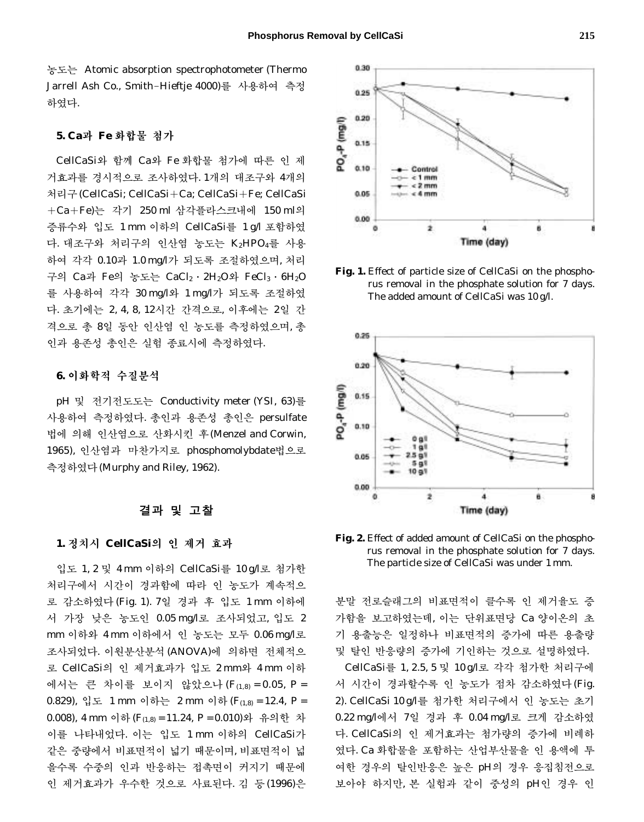농도는 Atomic absorption spectrophotometer (Thermo Jarrell Ash Co., Smith-Hieftje 4000)를 사용하여 측정 하였다.

#### **5. Ca**과 **Fe** 화합물 첨가

CellCaSi와 함께 Ca와 Fe 화합물 첨가에 따른 인 제 거효과를 경시적으로 조사하였다. 1개의 대조구와 4개의 처리구(CellCaSi; CellCaSi+Ca; CellCaSi+Fe; CellCaSi ±Ca±Fe)는 각기 250 ml 삼각플라스크내에 150 ml의 증류수와 입도 1 mm 이하의 CellCaSi를 1 g/l 포함하였 다. 대조구와 처리구의 인산염 농도는 K2HPO4를 사용 하여 각각 0.10과 1.0 mg/l가 되도록 조절하였으며, 처리 구의 Ca과 Fe의 농도는 CaCl2∙2H2O와 FeCl3∙6H2O 를 사용하여 각각 30 mg/l와 1 mg/l가 되도록 조절하였 다. 초기에는 2, 4, 8, 12시간 간격으로, 이후에는 2일 간 격으로 총 8일 동안 인산염 인 농도를 측정하였으며, 총 인과 용존성 총인은 실험 종료시에 측정하였다.

## **6.** 이화학적 수질분석

pH 및 전기전도도는 Conductivity meter (YSI, 63)를 사용하여 측정하였다. 총인과 용존성 총인은 persulfate 법에 의해 인산염으로 산화시킨 후(Menzel and Corwin, 1965), 인산염과 마찬가지로 phosphomolybdate법으로 측정하였다(Murphy and Riley, 1962).

#### 결과 및 고찰

#### **1.** 정치시 **CellCaSi**의 인 제거 효과

입도 1, 2 및 4 mm 이하의 CellCaSi를 10 g/l로 첨가한 처리구에서 시간이 경과함에 따라 인 농도가 계속적으 로 감소하였다(Fig. 1). 7일 경과 후 입도 1 mm 이하에 서 가장 낮은 농도인 0.05 mg/l로 조사되었고, 입도 2 mm 이하와 4 mm 이하에서 인 농도는 모두 0.06 mg/l로 조사되었다. 이원분산분석(ANOVA)에 의하면 전체적으 로 CellCaSi의 인 제거효과가 입도 2 mm와 4 mm 이하 에서는 큰 차이를 보이지 않았으나 (*F*(1,8) = 0.05, *P* = 0.829), 입도 1 mm 이하는 2 mm 이하 (*F*(1,8) = 12.4, *P* = 0.008), 4 mm 이하(*F*(1,8) = 11.24, *P* = 0.010)와 유의한 차 이를 나타내었다. 이는 입도 1 mm 이하의 CellCaSi가 같은 중량에서 비표면적이 넓기 때문이며, 비표면적이 넓 을수록 수중의 인과 반응하는 접촉면이 커지기 때문에 인 제거효과가 우수한 것으로 사료된다. 김 등(1996)은



**Fig. 1.** Effect of particle size of CellCaSi on the phosphorus removal in the phosphate solution for 7 days. The added amount of CellCaSi was 10 g/l.



**Fig. 2.** Effect of added amount of CellCaSi on the phosphorus removal in the phosphate solution for 7 days. The particle size of CellCaSi was under 1 mm.

분말 전로슬래그의 비표면적이 클수록 인 제거율도 증 가함을 보고하였는데, 이는 단위표면당 Ca 양이온의 초 기 용출능은 일정하나 비표면적의 증가에 따른 용출량 및 탈인 반응량의 증가에 기인하는 것으로 설명하였다. CellCaSi를 1, 2.5, 5 및 10 g/l로 각각 첨가한 처리구에 서 시간이 경과할수록 인 농도가 점차 감소하였다(Fig. 2). CellCaSi 10 g/l를 첨가한 처리구에서 인 농도는 초기 0.22 mg/l에서 7일 경과 후 0.04 mg/l로 크게 감소하였 다. CellCaSi의 인 제거효과는 첨가량의 증가에 비례하 였다. Ca 화합물을 포함하는 산업부산물을 인 용액에 투 여한 경우의 탈인반응은 높은 pH의 경우 응집침전으로 보아야 하지만, 본 실험과 같이 중성의 pH인 경우 인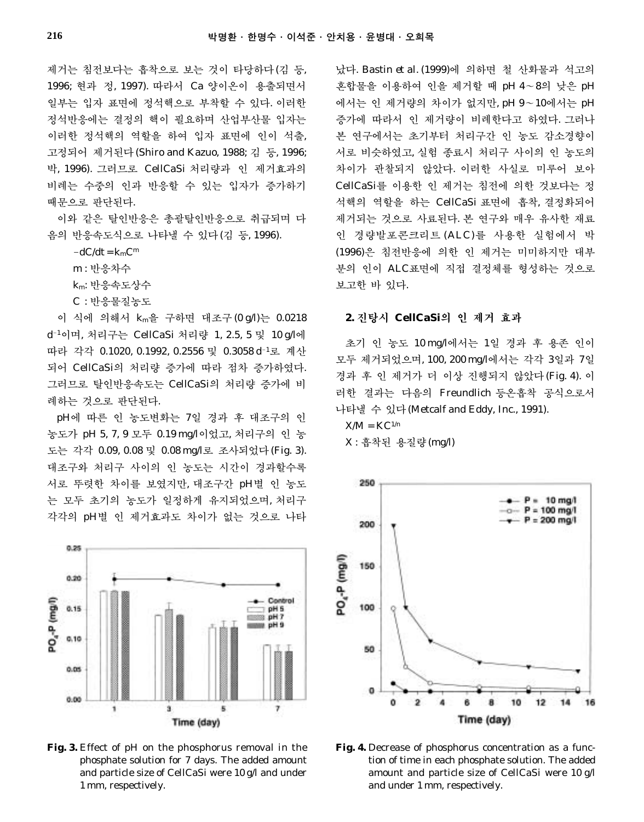제거는 침전보다는 흡착으로 보는 것이 타당하다(김 등, 1996; 현과 정, 1997). 따라서 Ca 양이온이 용출되면서 일부는 입자 표면에 정석핵으로 부착할 수 있다. 이러한 정석반응에는 결정의 핵이 필요하며 산업부산물 입자는 이러한 정석핵의 역할을 하여 입자 표면에 인이 석출, 고정되어 제거된다(Shiro and Kazuo, 1988; 김 등, 1996; 박, 1996). 그러므로 CellCaSi 처리량과 인 제거효과의 비례는 수중의 인과 반응할 수 있는 입자가 증가하기 때문으로 판단된다.

이와 같은 탈인반응은 총괄탈인반응으로 취급되며 다 음의 반응속도식으로 나타낼 수 있다(김 등, 1996).

 $-dC/dt = k<sub>m</sub>C<sup>m</sup>$ 

m : 반응차수

km: 반응속도상수

C : 반응물질농도

이 식에 의해서 km을 구하면 대조구(0 g/l)는 0.0218 d-<sup>1</sup>이며, 처리구는 CellCaSi 처리량 1, 2.5, 5 및 10 g/l에 따라 각각 0.1020, 0.1992, 0.2556 및 0.3058 d-<sup>1</sup>로 계산 되어 CellCaSi의 처리량 증가에 따라 점차 증가하였다. 그러므로 탈인반응속도는 CellCaSi의 처리량 증가에 비 례하는 것으로 판단된다.

pH에 따른 인 농도변화는 7일 경과 후 대조구의 인 농도가 pH 5, 7, 9 모두 0.19 mg/l이었고, 처리구의 인 농 도는 각각 0.09, 0.08 및 0.08 mg/l로 조사되었다(Fig. 3). 대조구와 처리구 사이의 인 농도는 시간이 경과할수록 서로 뚜렷한 차이를 보였지만, 대조구간 pH별 인 농도 는 모두 초기의 농도가 일정하게 유지되었으며, 처리구 각각의 pH별 인 제거효과도 차이가 없는 것으로 나타



**Fig. 3.** Effect of pH on the phosphorus removal in the phosphate solution for 7 days. The added amount and particle size of CellCaSi were 10 g/l and under 1 mm, respectively.

났다. Bastin *et al*. (1999)에 의하면 철 산화물과 석고의 혼합물을 이용하여 인을 제거할 때 pH 4~8의 낮은 pH 에서는 인 제거량의 차이가 없지만, pH 9~10에서는 pH 증가에 따라서 인 제거량이 비례한다고 하였다. 그러나 본 연구에서는 초기부터 처리구간 인 농도 감소경향이 서로 비슷하였고, 실험 종료시 처리구 사이의 인 농도의 차이가 관찰되지 않았다. 이러한 사실로 미루어 보아 CellCaSi를 이용한 인 제거는 침전에 의한 것보다는 정 석핵의 역할을 하는 CellCaSi 표면에 흡착, 결정화되어 제거되는 것으로 사료된다. 본 연구와 매우 유사한 재료 인 경량발포콘크리트 (ALC)를 사용한 실험에서 박 (1996)은 침전반응에 의한 인 제거는 미미하지만 대부 분의 인이 ALC표면에 직접 결정체를 형성하는 것으로 보고한 바 있다.

#### **2.** 진탕시 **CellCaSi**의 인 제거 효과

초기 인 농도 10 mg/l에서는 1일 경과 후 용존 인이 모두 제거되었으며, 100, 200 mg/l에서는 각각 3일과 7일 경과 후 인 제거가 더 이상 진행되지 않았다(Fig. 4). 이 러한 결과는 다음의 Freundlich 등온흡착 공식으로서 나타낼 수 있다(Metcalf and Eddy, Inc., 1991).

 $X/M = KC^{1/n}$ 

X : 흡착된 용질량(mg/l)



**Fig. 4.** Decrease of phosphorus concentration as a function of time in each phosphate solution. The added amount and particle size of CellCaSi were 10 g/l and under 1 mm, respectively.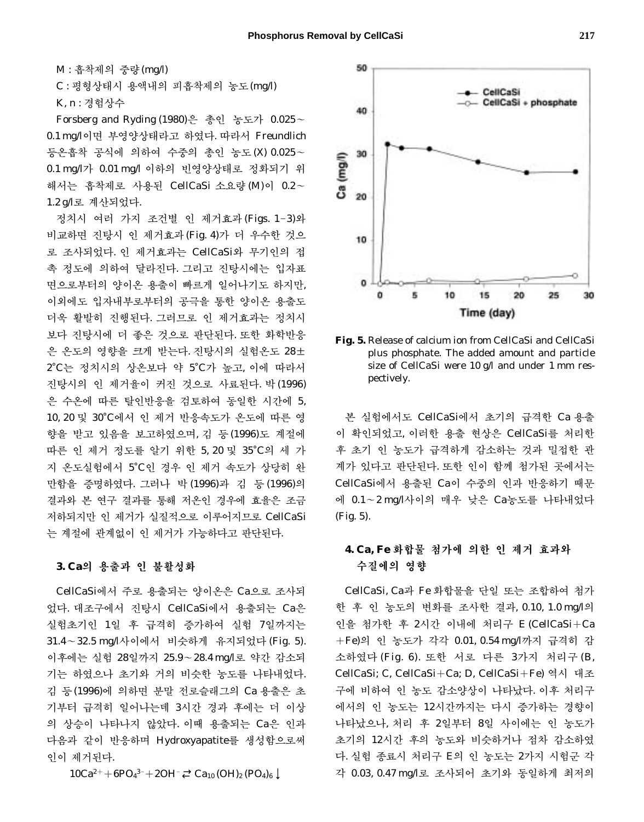50

40

30

20

Ca (mg/l)

M : 흡착제의 중량(mg/l) C : 평형상태시 용액내의 피흡착제의 농도(mg/l) K, n : 경험상수

Forsberg and Ryding (1980)은 총인 농도가 0.025~ 0.1 mg/l이면 부영양상태라고 하였다. 따라서 Freundlich 등온흡착 공식에 의하여 수중의 총인 농도(X) 0.025~ 0.1 mg/l가 0.01 mg/l 이하의 빈영양상태로 정화되기 위 해서는 흡착제로 사용된 CellCaSi 소요량 (M)이 0.2~ 1.2 g/l로 계산되었다.

정치시 여러 가지 조건별 인 제거효과(Figs. 1-3)와 비교하면 진탕시 인 제거효과(Fig. 4)가 더 우수한 것으 로 조사되었다. 인 제거효과는 CellCaSi와 무기인의 접 촉 정도에 의하여 달라진다. 그리고 진탕시에는 입자표 면으로부터의 양이온 용출이 빠르게 일어나기도 하지만, 이외에도 입자내부로부터의 공극을 통한 양이온 용출도 더욱 활발히 진행된다. 그러므로 인 제거효과는 정치시 보다 진탕시에 더 좋은 것으로 판단된다. 또한 화학반응 은 온도의 영향을 크게 받는다. 진탕시의 실험온도 28± 2�C는 정치시의 상온보다 약 5�C가 높고, 이에 따라서 진탕시의 인 제거율이 커진 것으로 사료된다. 박(1996) 은 수온에 따른 탈인반응을 검토하여 동일한 시간에 5, 10, 20 및 30�C에서 인 제거 반응속도가 온도에 따른 영 향을 받고 있음을 보고하였으며, 김 등(1996)도 계절에 따른 인 제거 정도를 알기 위한 5, 20 및 35°C의 세 가 지 온도실험에서 5�C인 경우 인 제거 속도가 상당히 완 만함을 증명하였다. 그러나 박 (1996)과김등 (1996)의 결과와 본 연구 결과를 통해 저온인 경우에 효율은 조금 저하되지만 인 제거가 실질적으로 이루어지므로 CellCaSi 는 계절에 관계없이 인 제거가 가능하다고 판단된다.

#### **3. Ca**의 용출과 인 불활성화

CellCaSi에서 주로 용출되는 양이온은 Ca으로 조사되 었다. 대조구에서 진탕시 CellCaSi에서 용출되는 Ca은 실험초기인 1일 후 급격히 증가하여 실험 7일까지는 31.4~32.5 mg/l사이에서 비슷하게 유지되었다 (Fig. 5). 이후에는 실험 28일까지 25.9~28.4 mg/l로 약간 감소되 기는 하였으나 초기와 거의 비슷한 농도를 나타내었다. 김 등(1996)에 의하면 분말 전로슬래그의 Ca 용출은 초 기부터 급격히 일어나는데 3시간 경과 후에는 더 이상 의 상승이 나타나지 않았다. 이때 용출되는 Ca은 인과 다음과 같이 반응하며 Hydroxyapatite를 생성함으로써 인이 제거된다.

 $10Ca^{2+}+6PO^{3-}+2OH^{-} \rightleftarrows Ca_{10} (OH)_{2} (PO_{4})_{6} \downarrow$ 



CellCaSi

CellCaSi + phosphate

plus phosphate. The added amount and particle size of CellCaSi were 10 g/l and under 1 mm respectively.

본 실험에서도 CellCaSi에서 초기의 급격한 Ca 용출 이 확인되었고, 이러한 용출 현상은 CellCaSi를 처리한 후 초기 인 농도가 급격하게 감소하는 것과 밀접한 관 계가 있다고 판단된다. 또한 인이 함께 첨가된 곳에서는 CellCaSi에서 용출된 Ca이 수중의 인과 반응하기 때문 에 0.1~2 mg/l사이의 매우 낮은 Ca농도를 나타내었다 (Fig. 5).

# **4. Ca, Fe** 화합물 첨가에 의한 인 제거 효과와 수질에의 영향

CellCaSi, Ca과 Fe 화합물을 단일 또는 조합하여 첨가 한 후 인 농도의 변화를 조사한 결과, 0.10, 1.0 mg/l의 인을 첨가한 후 2시간 이내에 처리구 E (CellCaSi+Ca ±Fe)의 인 농도가 각각 0.01, 0.54 mg/l까지 급격히 감 소하였다 (Fig. 6). 또한 서로 다른 3가지 처리구 (B, CellCaSi; C, CellCaSi±Ca; D, CellCaSi±Fe) 역시 대조 구에 비하여 인 농도 감소양상이 나타났다. 이후 처리구 에서의 인 농도는 12시간까지는 다시 증가하는 경향이 나타났으나, 처리 후 2일부터 8일 사이에는 인 농도가 초기의 12시간 후의 농도와 비슷하거나 점차 감소하였 다. 실험 종료시 처리구 E의 인 농도는 2가지 시험군 각 각 0.03, 0.47 mg/l로 조사되어 초기와 동일하게 최저의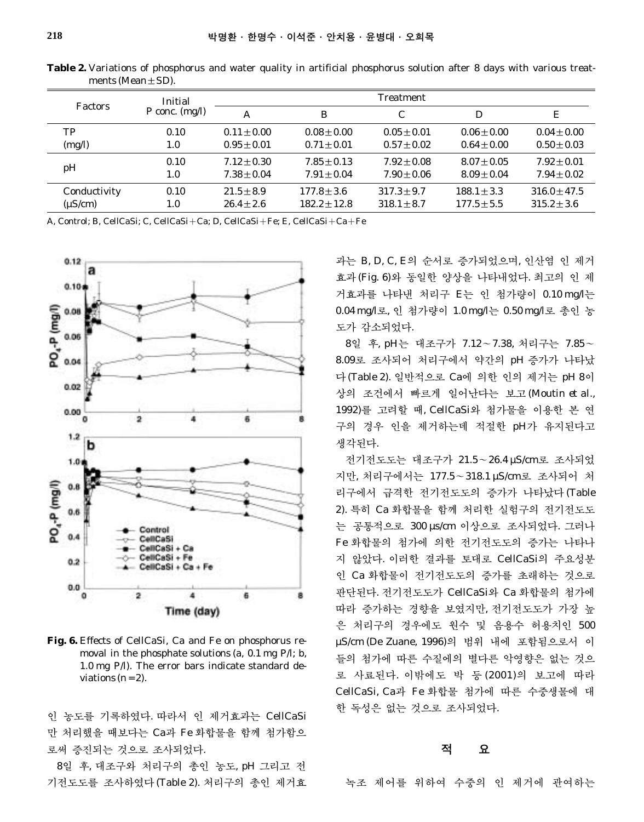| <b>Factors</b>    | Initial<br>P conc. $(mg/l)$ | <b>Treatment</b> |                  |                 |                 |                  |
|-------------------|-----------------------------|------------------|------------------|-----------------|-----------------|------------------|
|                   |                             | А                | B                | C               | D               | Ε                |
| TP                | 0.10                        | $0.11 + 0.00$    | $0.08 \pm 0.00$  | $0.05 + 0.01$   | $0.06 \pm 0.00$ | $0.04 \pm 0.00$  |
| (mg/l)            | 1.0                         | $0.95 + 0.01$    | $0.71 + 0.01$    | $0.57 + 0.02$   | $0.64 + 0.00$   | $0.50 \pm 0.03$  |
| 0.10<br>pH<br>1.0 |                             | $7.12 + 0.30$    | $7.85 + 0.13$    | $7.92 + 0.08$   | $8.07 + 0.05$   | $7.92 + 0.01$    |
|                   |                             | $7.38 + 0.04$    | $7.91 \pm 0.04$  | $7.90 + 0.06$   | $8.09 \pm 0.04$ | $7.94 \pm 0.02$  |
| Conductivity      | 0.10                        | $21.5 \pm 8.9$   | $177.8 + 3.6$    | $317.3 \pm 9.7$ | $188.1 \pm 3.3$ | $316.0 \pm 47.5$ |
| $(\mu S/cm)$      | 1.0                         | $26.4 \pm 2.6$   | $182.2 \pm 12.8$ | $318.1 \pm 8.7$ | $177.5 \pm 5.5$ | $315.2 \pm 3.6$  |

**Table 2.** Variations of phosphorus and water quality in artificial phosphorus solution after 8 days with various treatments (Mean±SD).

A, Control; B, CellCaSi; C, CellCaSi+Ca; D, CellCaSi+Fe; E, CellCaSi+Ca+Fe



**Fig. 6.** Effects of CellCaSi, Ca and Fe on phosphorus removal in the phosphate solutions (a, 0.1 mg P/l; b, 1.0 mg P/l). The error bars indicate standard deviations  $(n = 2)$ .

인 농도를 기록하였다. 따라서 인 제거효과는 CellCaSi 만 처리했을 때보다는 Ca과 Fe 화합물을 함께 첨가함으 로써 증진되는 것으로 조사되었다.

8일 후, 대조구와 처리구의 총인 농도, pH 그리고 전 기전도도를 조사하였다(Table 2). 처리구의 총인 제거효 과는 B, D, C, E의 순서로 증가되었으며, 인산염 인 제거 효과(Fig. 6)와 동일한 양상을 나타내었다. 최고의 인 제 거효과를 나타낸 처리구 E는 인 첨가량이 0.10 mg/l는 0.04 mg/l로, 인 첨가량이 1.0 mg/l는 0.50 mg/l로 총인 농 도가 감소되었다.

8일 후, pH는 대조구가 7.12~7.38, 처리구는 7.85~ 8.09로 조사되어 처리구에서 약간의 pH 증가가 나타났 다(Table 2). 일반적으로 Ca에 의한 인의 제거는 pH 8이 상의 조건에서 빠르게 일어난다는 보고 (Moutin *et al*., 1992)를 고려할 때, CellCaSi와 첨가물을 이용한 본 연 구의 경우 인을 제거하는데 적절한 pH가 유지된다고 생각된다.

전기전도도는 대조구가 21.5~26.4 µS/cm로 조사되었 지만, 처리구에서는 177.5~318.1 µS/cm로 조사되어 처 리구에서 급격한 전기전도도의 증가가 나타났다(Table 2). 특히 Ca 화합물을 함께 처리한 실험구의 전기전도도 는 공통적으로 300 µs/cm 이상으로 조사되었다. 그러나 Fe 화합물의 첨가에 의한 전기전도도의 증가는 나타나 지 않았다. 이러한 결과를 토대로 CellCaSi의 주요성분 인 Ca 화합물이 전기전도도의 증가를 초래하는 것으로 판단된다. 전기전도도가 CellCaSi와 Ca 화합물의 첨가에 따라 증가하는 경향을 보였지만, 전기전도도가 가장 높 은 처리구의 경우에도 원수 및 음용수 허용치인 500 µS/cm (De Zuane, 1996)의 범위 내에 포함됨으로서 이 들의 첨가에 따른 수질에의 별다른 악영향은 없는 것으 로 사료된다. 이밖에도 박 등 (2001)의 보고에 따라 CellCaSi, Ca과 Fe 화합물 첨가에 따른 수중생물에 대 한 독성은 없는 것으로 조사되었다.

## 적 요

녹조 제어를 위하여 수중의 인 제거에 관여하는